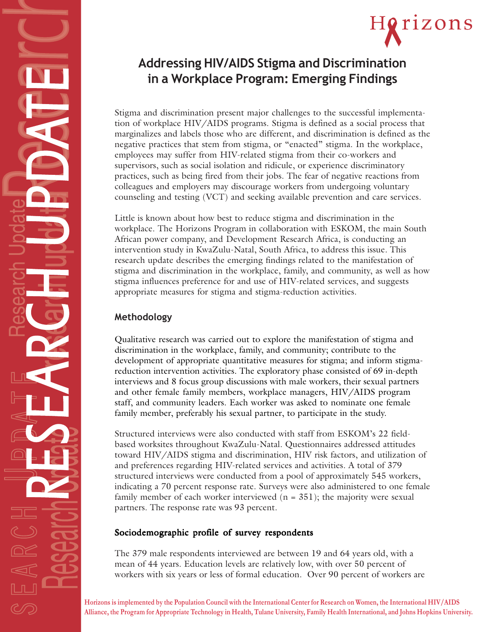# Horizons

# **Addressing HIV/AIDS Stigma and Discrimination in a Workplace Program: Emerging Findings**

Stigma and discrimination present major challenges to the successful implementation of workplace HIV/AIDS programs. Stigma is defined as a social process that marginalizes and labels those who are different, and discrimination is defined as the negative practices that stem from stigma, or "enacted" stigma. In the workplace, employees may suffer from HIV-related stigma from their co-workers and supervisors, such as social isolation and ridicule, or experience discriminatory practices, such as being fired from their jobs. The fear of negative reactions from colleagues and employers may discourage workers from undergoing voluntary counseling and testing (VCT) and seeking available prevention and care services.

Little is known about how best to reduce stigma and discrimination in the workplace. The Horizons Program in collaboration with ESKOM, the main South African power company, and Development Research Africa, is conducting an intervention study in KwaZulu-Natal, South Africa, to address this issue. This research update describes the emerging findings related to the manifestation of stigma and discrimination in the workplace, family, and community, as well as how stigma influences preference for and use of HIV-related services, and suggests appropriate measures for stigma and stigma-reduction activities.

# **Methodology**

Qualitative research was carried out to explore the manifestation of stigma and discrimination in the workplace, family, and community; contribute to the development of appropriate quantitative measures for stigma; and inform stigmareduction intervention activities. The exploratory phase consisted of 69 in-depth interviews and 8 focus group discussions with male workers, their sexual partners and other female family members, workplace managers, HIV/AIDS program staff, and community leaders. Each worker was asked to nominate one female family member, preferably his sexual partner, to participate in the study.

Structured interviews were also conducted with staff from ESKOM's 22 fieldbased worksites throughout KwaZulu-Natal. Questionnaires addressed attitudes toward HIV/AIDS stigma and discrimination, HIV risk factors, and utilization of and preferences regarding HIV-related services and activities. A total of 379 structured interviews were conducted from a pool of approximately 545 workers, indicating a 70 percent response rate. Surveys were also administered to one female family member of each worker interviewed  $(n = 351)$ ; the majority were sexual partners. The response rate was 93 percent.

## Sociodemographic profile of survey respondents

The 379 male respondents interviewed are between 19 and 64 years old, with a mean of 44 years. Education levels are relatively low, with over 50 percent of workers with six years or less of formal education. Over 90 percent of workers are

**Horizons is implemented by the Population Council with the International Center for Research on Women, the International HIV/AIDS Alliance, the Program for Appropriate Technology in Health, Tulane University, Family Health International, and Johns Hopkins University.**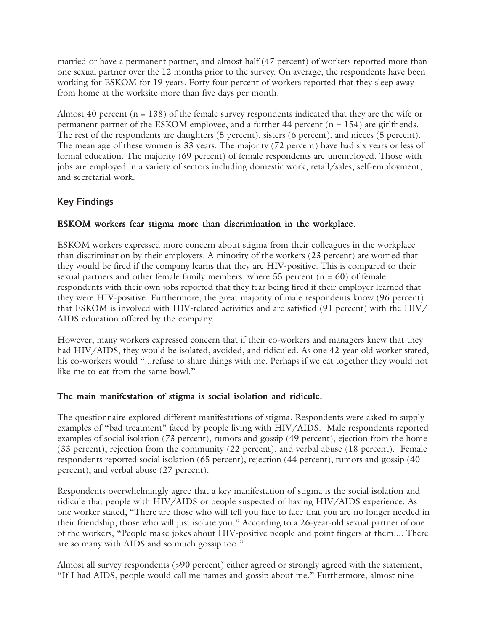married or have a permanent partner, and almost half (47 percent) of workers reported more than one sexual partner over the 12 months prior to the survey. On average, the respondents have been working for ESKOM for 19 years. Forty-four percent of workers reported that they sleep away from home at the worksite more than five days per month.

Almost 40 percent  $(n = 138)$  of the female survey respondents indicated that they are the wife or permanent partner of the ESKOM employee, and a further 44 percent (n = 154) are girlfriends. The rest of the respondents are daughters (5 percent), sisters (6 percent), and nieces (5 percent). The mean age of these women is 33 years. The majority (72 percent) have had six years or less of formal education. The majority (69 percent) of female respondents are unemployed. Those with jobs are employed in a variety of sectors including domestic work, retail/sales, self-employment, and secretarial work.

#### **Key Findings**

#### ESKOM workers fear stigma more than discrimination in the workplace.

ESKOM workers expressed more concern about stigma from their colleagues in the workplace than discrimination by their employers. A minority of the workers (23 percent) are worried that they would be fired if the company learns that they are HIV-positive. This is compared to their sexual partners and other female family members, where  $55$  percent ( $n = 60$ ) of female respondents with their own jobs reported that they fear being fired if their employer learned that they were HIV-positive. Furthermore, the great majority of male respondents know (96 percent) that ESKOM is involved with HIV-related activities and are satisfied (91 percent) with the HIV/ AIDS education offered by the company.

However, many workers expressed concern that if their co-workers and managers knew that they had HIV/AIDS, they would be isolated, avoided, and ridiculed. As one 42-year-old worker stated, his co-workers would "...refuse to share things with me. Perhaps if we eat together they would not like me to eat from the same bowl."

#### The main manifestation of stigma is social isolation and ridicule.

The questionnaire explored different manifestations of stigma. Respondents were asked to supply examples of "bad treatment" faced by people living with HIV/AIDS. Male respondents reported examples of social isolation (73 percent), rumors and gossip (49 percent), ejection from the home (33 percent), rejection from the community (22 percent), and verbal abuse (18 percent). Female respondents reported social isolation (65 percent), rejection (44 percent), rumors and gossip (40 percent), and verbal abuse (27 percent).

Respondents overwhelmingly agree that a key manifestation of stigma is the social isolation and ridicule that people with HIV/AIDS or people suspected of having HIV/AIDS experience. As one worker stated, "There are those who will tell you face to face that you are no longer needed in their friendship, those who will just isolate you." According to a 26-year-old sexual partner of one of the workers, "People make jokes about HIV-positive people and point fingers at them.... There are so many with AIDS and so much gossip too."

Almost all survey respondents (>90 percent) either agreed or strongly agreed with the statement, "If I had AIDS, people would call me names and gossip about me." Furthermore, almost nine-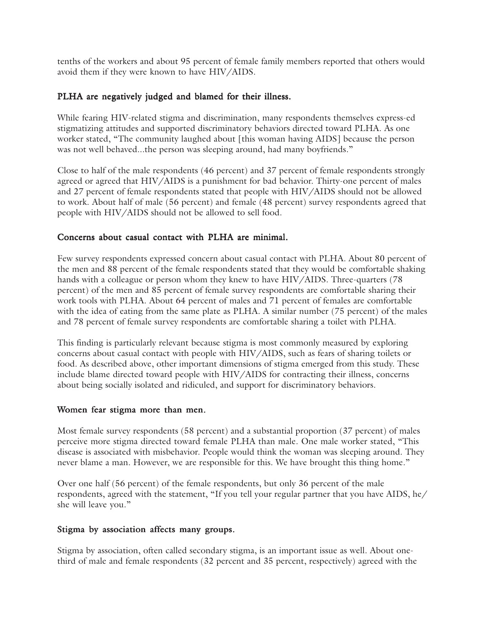tenths of the workers and about 95 percent of female family members reported that others would avoid them if they were known to have HIV/AIDS.

#### PLHA are negatively judged and blamed for their illness.

While fearing HIV-related stigma and discrimination, many respondents themselves express-ed stigmatizing attitudes and supported discriminatory behaviors directed toward PLHA. As one worker stated, "The community laughed about [this woman having AIDS] because the person was not well behaved...the person was sleeping around, had many boyfriends."

Close to half of the male respondents (46 percent) and 37 percent of female respondents strongly agreed or agreed that HIV/AIDS is a punishment for bad behavior. Thirty-one percent of males and 27 percent of female respondents stated that people with HIV/AIDS should not be allowed to work. About half of male (56 percent) and female (48 percent) survey respondents agreed that people with HIV/AIDS should not be allowed to sell food.

#### Concerns about casual contact with PLHA are minimal.

Few survey respondents expressed concern about casual contact with PLHA. About 80 percent of the men and 88 percent of the female respondents stated that they would be comfortable shaking hands with a colleague or person whom they knew to have HIV/AIDS. Three-quarters (78 percent) of the men and 85 percent of female survey respondents are comfortable sharing their work tools with PLHA. About 64 percent of males and 71 percent of females are comfortable with the idea of eating from the same plate as PLHA. A similar number (75 percent) of the males and 78 percent of female survey respondents are comfortable sharing a toilet with PLHA.

This finding is particularly relevant because stigma is most commonly measured by exploring concerns about casual contact with people with HIV/AIDS, such as fears of sharing toilets or food. As described above, other important dimensions of stigma emerged from this study. These include blame directed toward people with HIV/AIDS for contracting their illness, concerns about being socially isolated and ridiculed, and support for discriminatory behaviors.

#### Women fear stigma more than men.

Most female survey respondents (58 percent) and a substantial proportion (37 percent) of males perceive more stigma directed toward female PLHA than male. One male worker stated, "This disease is associated with misbehavior. People would think the woman was sleeping around. They never blame a man. However, we are responsible for this. We have brought this thing home."

Over one half (56 percent) of the female respondents, but only 36 percent of the male respondents, agreed with the statement, "If you tell your regular partner that you have AIDS, he/ she will leave you."

#### Stigma by association affects many groups.

Stigma by association, often called secondary stigma, is an important issue as well. About onethird of male and female respondents (32 percent and 35 percent, respectively) agreed with the